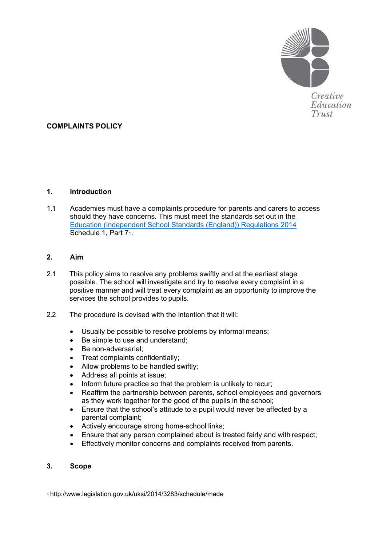

Creative Education Trust

# **COMPLAINTS POLICY**

#### **1. Introduction**

1.1 Academies must have a complaints procedure for parents and carers t[o access](http://www.legislation.gov.uk/uksi/2014/3283/schedule/made)  should they have concerns. This must meet the standards set out in the [Education \(Independent School Standards \(England\)\) Regulations 2014](http://www.legislation.gov.uk/uksi/2014/3283/schedule/made) Schedule 1, Part [71.](#page-0-0)

#### **2. Aim**

- 2.1 This policy aims to resolve any problems swiftly and at the earliest stage possible. The school will investigate and try to resolve every complaint in a positive manner and will treat every complaint as an opportunity to improve the services the school provides to pupils.
- 2.2 The procedure is devised with the intention that it will:
	- Usually be possible to resolve problems by informal means;
	- Be simple to use and understand;
	- Be non-adversarial;
	- Treat complaints confidentially;
	- Allow problems to be handled swiftly;
	- Address all points at issue;
	- Inform future practice so that the problem is unlikely to recur;
	- Reaffirm the partnership between parents, school employees and governors as they work together for the good of the pupils in the school;
	- Ensure that the school's attitude to a pupil would never be affected by a parental complaint;
	- Actively encourage strong home-school links;
	- Ensure that any person complained about is treated fairly and with respect;
	- Effectively monitor concerns and complaints received from parents.

## **3. Scope**

<span id="page-0-0"></span>[<sup>1</sup> http://www.legislation.gov.uk/uksi/2014/3283/schedule/made](http://www.legislation.gov.uk/uksi/2014/3283/schedule/made)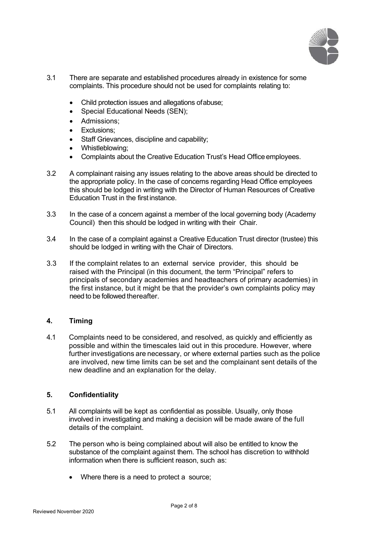

- 3.1 There are separate and established procedures already in existence for some complaints. This procedure should not be used for complaints relating to:
	- Child protection issues and allegations ofabuse;
	- Special Educational Needs (SEN):
	- Admissions;
	- Exclusions:
	- Staff Grievances, discipline and capability;
	- Whistleblowing;
	- Complaints about the Creative Education Trust's Head Office employees.
- 3.2 A complainant raising any issues relating to the above areas should be directed to the appropriate policy. In the case of concerns regarding Head Office employees this should be lodged in writing with the Director of Human Resources of Creative Education Trust in the first instance.
- 3.3 In the case of a concern against a member of the local governing body (Academy Council) then this should be lodged in writing with their Chair.
- 3.4 In the case of a complaint against a Creative Education Trust director (trustee) this should be lodged in writing with the Chair of Directors.
- 3.3 If the complaint relates to an external service provider, this should be raised with the Principal (in this document, the term "Principal" refers to principals of secondary academies and headteachers of primary academies) in the first instance, but it might be that the provider's own complaints policy may need to be followed thereafter.

#### **4. Timing**

4.1 Complaints need to be considered, and resolved, as quickly and efficiently as possible and within the timescales laid out in this procedure. However, where further investigations are necessary, or where external parties such as the police are involved, new time limits can be set and the complainant sent details of the new deadline and an explanation for the delay.

#### **5. Confidentiality**

- 5.1 All complaints will be kept as confidential as possible. Usually, only those involved in investigating and making a decision will be made aware of the full details of the complaint.
- 5.2 The person who is being complained about will also be entitled to know the substance of the complaint against them. The school has discretion to withhold information when there is sufficient reason, such as:
	- Where there is a need to protect a source: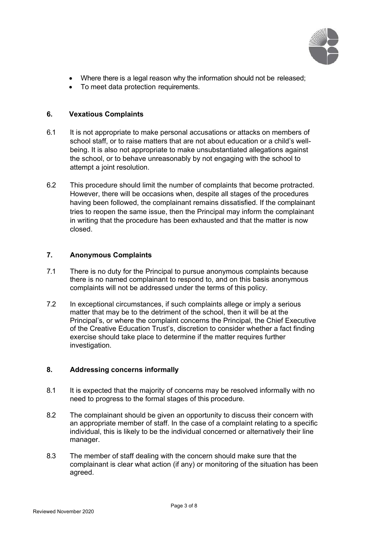

- Where there is a legal reason why the information should not be released;
- To meet data protection requirements.

## **6. Vexatious Complaints**

- 6.1 It is not appropriate to make personal accusations or attacks on members of school staff, or to raise matters that are not about education or a child's wellbeing. It is also not appropriate to make unsubstantiated allegations against the school, or to behave unreasonably by not engaging with the school to attempt a joint resolution.
- 6.2 This procedure should limit the number of complaints that become protracted. However, there will be occasions when, despite all stages of the procedures having been followed, the complainant remains dissatisfied. If the complainant tries to reopen the same issue, then the Principal may inform the complainant in writing that the procedure has been exhausted and that the matter is now closed.

#### **7. Anonymous Complaints**

- 7.1 There is no duty for the Principal to pursue anonymous complaints because there is no named complainant to respond to, and on this basis anonymous complaints will not be addressed under the terms of this policy.
- 7.2 In exceptional circumstances, if such complaints allege or imply a serious matter that may be to the detriment of the school, then it will be at the Principal's, or where the complaint concerns the Principal, the Chief Executive of the Creative Education Trust's, discretion to consider whether a fact finding exercise should take place to determine if the matter requires further investigation.

#### **8. Addressing concerns informally**

- 8.1 It is expected that the majority of concerns may be resolved informally with no need to progress to the formal stages of this procedure.
- 8.2 The complainant should be given an opportunity to discuss their concern with an appropriate member of staff. In the case of a complaint relating to a specific individual, this is likely to be the individual concerned or alternatively their line manager.
- 8.3 The member of staff dealing with the concern should make sure that the complainant is clear what action (if any) or monitoring of the situation has been agreed.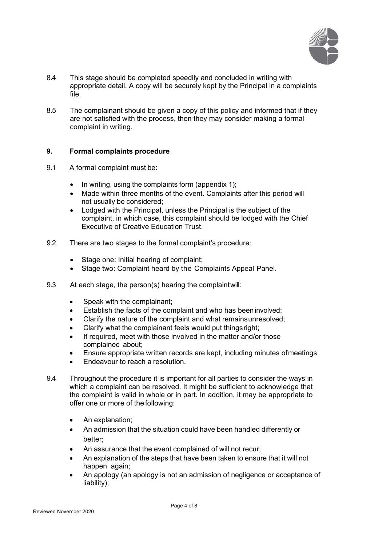

- 8.4 This stage should be completed speedily and concluded in writing with appropriate detail. A copy will be securely kept by the Principal in a complaints file.
- 8.5 The complainant should be given a copy of this policy and informed that if they are not satisfied with the process, then they may consider making a formal complaint in writing.

#### **9. Formal complaints procedure**

- 9.1 A formal complaint must be:
	- In writing, using the complaints form (appendix 1);
	- Made within three months of the event. Complaints after this period will not usually be considered;
	- Lodged with the Principal, unless the Principal is the subject of the complaint, in which case, this complaint should be lodged with the Chief Executive of Creative Education Trust.
- 9.2 There are two stages to the formal complaint's procedure:
	- Stage one: Initial hearing of complaint;
	- Stage two: Complaint heard by the Complaints Appeal Panel.
- 9.3 At each stage, the person(s) hearing the complaintwill:
	- Speak with the complainant;
	- Establish the facts of the complaint and who has been involved:
	- Clarify the nature of the complaint and what remainsunresolved;
	- Clarify what the complainant feels would put thingsright;
	- If required, meet with those involved in the matter and/or those complained about;
	- Ensure appropriate written records are kept, including minutes ofmeetings;
	- Endeavour to reach a resolution.
- 9.4 Throughout the procedure it is important for all parties to consider the ways in which a complaint can be resolved. It might be sufficient to acknowledge that the complaint is valid in whole or in part. In addition, it may be appropriate to offer one or more of the following:
	- An explanation;
	- An admission that the situation could have been handled differently or better;
	- An assurance that the event complained of will not recur;
	- An explanation of the steps that have been taken to ensure that it will not happen again;
	- An apology (an apology is not an admission of negligence or acceptance of liability);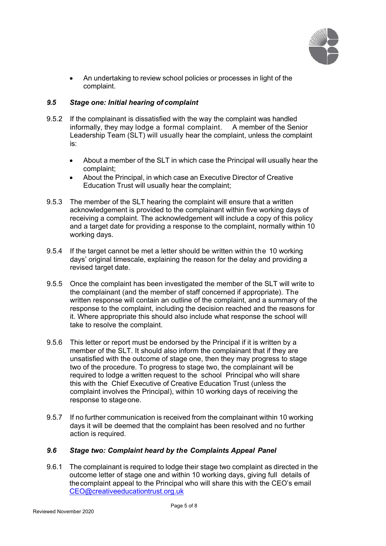

• An undertaking to review school policies or processes in light of the complaint.

#### *9.5 Stage one: Initial hearing of complaint*

- 9.5.2 If the complainant is dissatisfied with the way the complaint was handled informally, they may lodge a formal complaint. A member of the Senior Leadership Team (SLT) will usually hear the complaint, unless the complaint is:
	- About a member of the SLT in which case the Principal will usually hear the complaint;
	- About the Principal, in which case an Executive Director of Creative Education Trust will usually hear the complaint;
- 9.5.3 The member of the SLT hearing the complaint will ensure that a written acknowledgement is provided to the complainant within five working days of receiving a complaint. The acknowledgement will include a copy of this policy and a target date for providing a response to the complaint, normally within 10 working days.
- 9.5.4 If the target cannot be met a letter should be written within the 10 working days' original timescale, explaining the reason for the delay and providing a revised target date.
- 9.5.5 Once the complaint has been investigated the member of the SLT will write to the complainant (and the member of staff concerned if appropriate). The written response will contain an outline of the complaint, and a summary of the response to the complaint, including the decision reached and the reasons for it. Where appropriate this should also include what response the school will take to resolve the complaint.
- 9.5.6 This letter or report must be endorsed by the Principal if it is written by a member of the SLT. It should also inform the complainant that if they are unsatisfied with the outcome of stage one, then they may progress to stage two of the procedure. To progress to stage two, the complainant will be required to lodge a written request to the school Principal who will share this with the Chief Executive of Creative Education Trust (unless the complaint involves the Principal), within 10 working days of receiving the response to stageone.
- 9.5.7 If no further communication is received from the complainant within 10 working days it will be deemed that the complaint has been resolved and no further action is required.

# *9.6 Stage two: Complaint heard by the Complaints Appeal Panel*

9.6.1 The complainant is required to lodge their stage two complaint as directed in the outcome letter of stage one and within 10 working days, giving full details of thecomplaint appeal to the Principal who will share this with the CEO's email [CEO@creativeeducationtrust.org.uk](mailto:CEO@creativeeducationtrust.org.uk)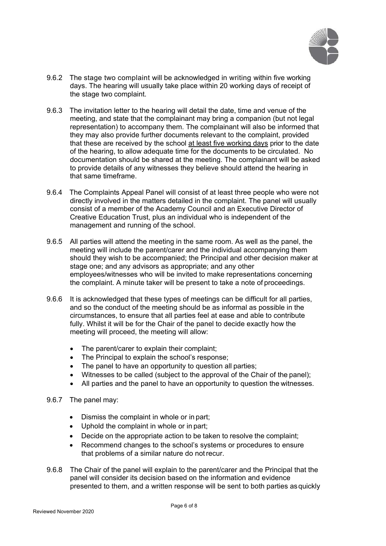

- 9.6.2 The stage two complaint will be acknowledged in writing within five working days. The hearing will usually take place within 20 working days of receipt of the stage two complaint.
- 9.6.3 The invitation letter to the hearing will detail the date, time and venue of the meeting, and state that the complainant may bring a companion (but not legal representation) to accompany them. The complainant will also be informed that they may also provide further documents relevant to the complaint, provided that these are received by the school at least five working days prior to the date of the hearing, to allow adequate time for the documents to be circulated. No documentation should be shared at the meeting. The complainant will be asked to provide details of any witnesses they believe should attend the hearing in that same timeframe.
- 9.6.4 The Complaints Appeal Panel will consist of at least three people who were not directly involved in the matters detailed in the complaint. The panel will usually consist of a member of the Academy Council and an Executive Director of Creative Education Trust, plus an individual who is independent of the management and running of the school.
- 9.6.5 All parties will attend the meeting in the same room. As well as the panel, the meeting will include the parent/carer and the individual accompanying them should they wish to be accompanied; the Principal and other decision maker at stage one; and any advisors as appropriate; and any other employees/witnesses who will be invited to make representations concerning the complaint. A minute taker will be present to take a note of proceedings.
- 9.6.6 It is acknowledged that these types of meetings can be difficult for all parties, and so the conduct of the meeting should be as informal as possible in the circumstances, to ensure that all parties feel at ease and able to contribute fully. Whilst it will be for the Chair of the panel to decide exactly how the meeting will proceed, the meeting will allow:
	- The parent/carer to explain their complaint;
	- The Principal to explain the school's response;
	- The panel to have an opportunity to question all parties;<br>• Witnesses to be called (subiect to the annroval of the Ct
	- Witnesses to be called (subject to the approval of the Chair of the panel);
	- All parties and the panel to have an opportunity to question the witnesses.
- 9.6.7 The panel may:
	- Dismiss the complaint in whole or in part;
	- Uphold the complaint in whole or in part;
	- Decide on the appropriate action to be taken to resolve the complaint;
	- Recommend changes to the school's systems or procedures to ensure that problems of a similar nature do notrecur.
- 9.6.8 The Chair of the panel will explain to the parent/carer and the Principal that the panel will consider its decision based on the information and evidence presented to them, and a written response will be sent to both parties asquickly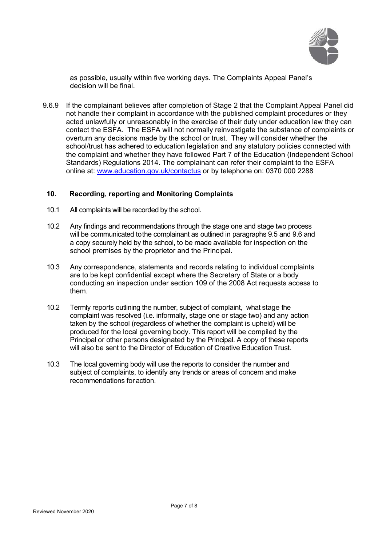

as possible, usually within five working days. The Complaints Appeal Panel's decision will be final.

9.6.9 If the complainant believes after completion of Stage 2 that the Complaint Appeal Panel did not handle their complaint in accordance with the published complaint procedures or they acted unlawfully or unreasonably in the exercise of their duty under education law they can contact the ESFA. The ESFA will not normally reinvestigate the substance of complaints or overturn any decisions made by the school or trust. They will consider whether the school/trust has adhered to education legislation and any statutory policies connected with the complaint and whether they have followed Part 7 of the Education (Independent School Standards) Regulations 2014. The complainant can refer their complaint to the ESFA online at: [www.education.gov.uk/contactus](http://www.education.gov.uk/contactus) or by telephone on: 0370 000 2288

#### **10. Recording, reporting and Monitoring Complaints**

- 10.1 All complaints will be recorded by the school.
- 10.2 Any findings and recommendations through the stage one and stage two process will be communicated tothe complainant as outlined in paragraphs 9.5 and 9.6 and a copy securely held by the school, to be made available for inspection on the school premises by the proprietor and the Principal.
- 10.3 Any correspondence, statements and records relating to individual complaints are to be kept confidential except where the Secretary of State or a body conducting an inspection under section 109 of the 2008 Act requests access to them.
- 10.2 Termly reports outlining the number, subject of complaint, what stage the complaint was resolved (i.e. informally, stage one or stage two) and any action taken by the school (regardless of whether the complaint is upheld) will be produced for the local governing body. This report will be compiled by the Principal or other persons designated by the Principal. A copy of these reports will also be sent to the Director of Education of Creative Education Trust.
- 10.3 The local governing body will use the reports to consider the number and subject of complaints, to identify any trends or areas of concern and make recommendations foraction.